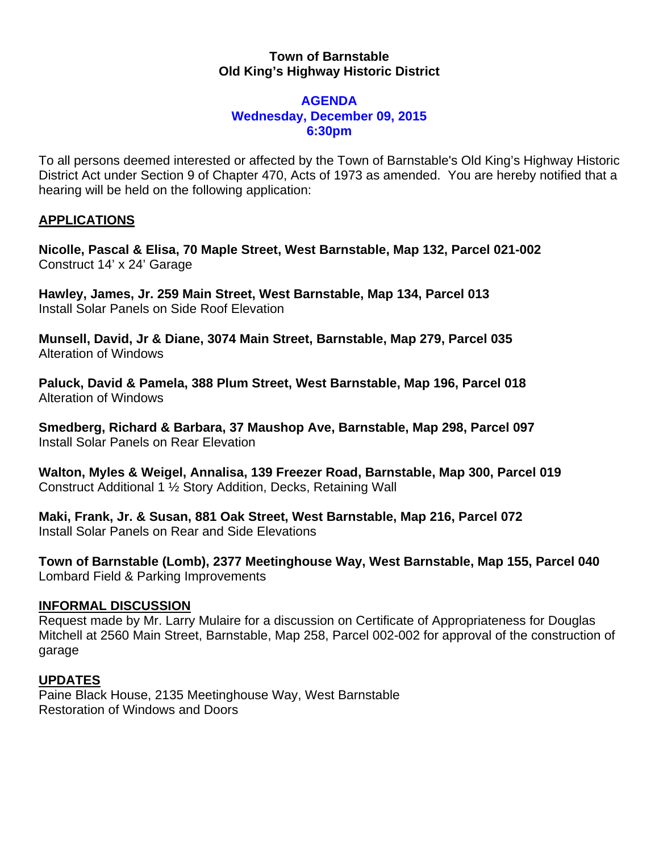### **Town of Barnstable Old King's Highway Historic District**

### **AGENDA Wednesday, December 09, 2015 6:30pm**

To all persons deemed interested or affected by the Town of Barnstable's Old King's Highway Historic District Act under Section 9 of Chapter 470, Acts of 1973 as amended. You are hereby notified that a hearing will be held on the following application:

# **APPLICATIONS**

**Nicolle, Pascal & Elisa, 70 Maple Street, West Barnstable, Map 132, Parcel 021-002**  Construct 14' x 24' Garage

**Hawley, James, Jr. 259 Main Street, West Barnstable, Map 134, Parcel 013**  Install Solar Panels on Side Roof Elevation

**Munsell, David, Jr & Diane, 3074 Main Street, Barnstable, Map 279, Parcel 035**  Alteration of Windows

**Paluck, David & Pamela, 388 Plum Street, West Barnstable, Map 196, Parcel 018**  Alteration of Windows

**Smedberg, Richard & Barbara, 37 Maushop Ave, Barnstable, Map 298, Parcel 097**  Install Solar Panels on Rear Elevation

**Walton, Myles & Weigel, Annalisa, 139 Freezer Road, Barnstable, Map 300, Parcel 019**  Construct Additional 1 ½ Story Addition, Decks, Retaining Wall

**Maki, Frank, Jr. & Susan, 881 Oak Street, West Barnstable, Map 216, Parcel 072**  Install Solar Panels on Rear and Side Elevations

**Town of Barnstable (Lomb), 2377 Meetinghouse Way, West Barnstable, Map 155, Parcel 040**  Lombard Field & Parking Improvements

## **INFORMAL DISCUSSION**

Request made by Mr. Larry Mulaire for a discussion on Certificate of Appropriateness for Douglas Mitchell at 2560 Main Street, Barnstable, Map 258, Parcel 002-002 for approval of the construction of garage

## **UPDATES**

Paine Black House, 2135 Meetinghouse Way, West Barnstable Restoration of Windows and Doors